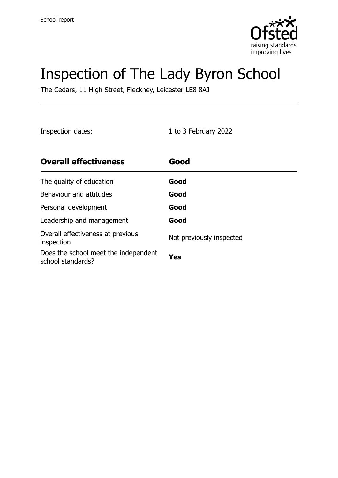

# Inspection of The Lady Byron School

The Cedars, 11 High Street, Fleckney, Leicester LE8 8AJ

Inspection dates: 1 to 3 February 2022

| <b>Overall effectiveness</b>                              | Good                     |
|-----------------------------------------------------------|--------------------------|
| The quality of education                                  | Good                     |
| Behaviour and attitudes                                   | Good                     |
| Personal development                                      | Good                     |
| Leadership and management                                 | Good                     |
| Overall effectiveness at previous<br>inspection           | Not previously inspected |
| Does the school meet the independent<br>school standards? | Yes                      |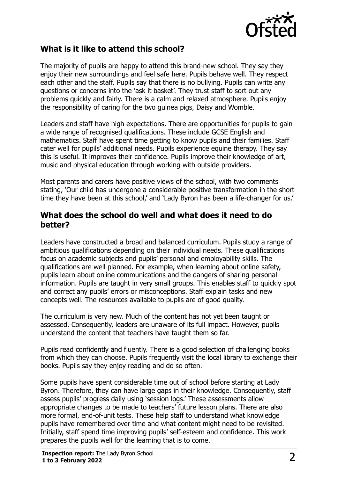

#### **What is it like to attend this school?**

The majority of pupils are happy to attend this brand-new school. They say they enjoy their new surroundings and feel safe here. Pupils behave well. They respect each other and the staff. Pupils say that there is no bullying. Pupils can write any questions or concerns into the 'ask it basket'. They trust staff to sort out any problems quickly and fairly. There is a calm and relaxed atmosphere. Pupils enjoy the responsibility of caring for the two guinea pigs, Daisy and Womble.

Leaders and staff have high expectations. There are opportunities for pupils to gain a wide range of recognised qualifications. These include GCSE English and mathematics. Staff have spent time getting to know pupils and their families. Staff cater well for pupils' additional needs. Pupils experience equine therapy. They say this is useful. It improves their confidence. Pupils improve their knowledge of art, music and physical education through working with outside providers.

Most parents and carers have positive views of the school, with two comments stating, 'Our child has undergone a considerable positive transformation in the short time they have been at this school,' and 'Lady Byron has been a life-changer for us.'

#### **What does the school do well and what does it need to do better?**

Leaders have constructed a broad and balanced curriculum. Pupils study a range of ambitious qualifications depending on their individual needs. These qualifications focus on academic subjects and pupils' personal and employability skills. The qualifications are well planned. For example, when learning about online safety, pupils learn about online communications and the dangers of sharing personal information. Pupils are taught in very small groups. This enables staff to quickly spot and correct any pupils' errors or misconceptions. Staff explain tasks and new concepts well. The resources available to pupils are of good quality.

The curriculum is very new. Much of the content has not yet been taught or assessed. Consequently, leaders are unaware of its full impact. However, pupils understand the content that teachers have taught them so far.

Pupils read confidently and fluently. There is a good selection of challenging books from which they can choose. Pupils frequently visit the local library to exchange their books. Pupils say they enjoy reading and do so often.

Some pupils have spent considerable time out of school before starting at Lady Byron. Therefore, they can have large gaps in their knowledge. Consequently, staff assess pupils' progress daily using 'session logs.' These assessments allow appropriate changes to be made to teachers' future lesson plans. There are also more formal, end-of-unit tests. These help staff to understand what knowledge pupils have remembered over time and what content might need to be revisited. Initially, staff spend time improving pupils' self-esteem and confidence. This work prepares the pupils well for the learning that is to come.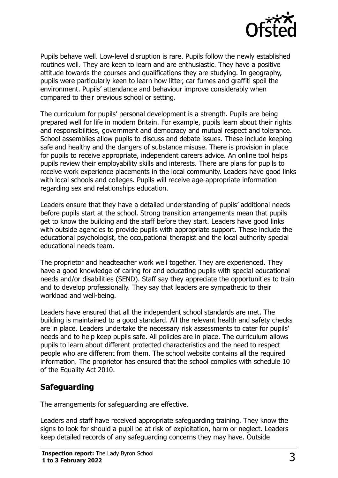

Pupils behave well. Low-level disruption is rare. Pupils follow the newly established routines well. They are keen to learn and are enthusiastic. They have a positive attitude towards the courses and qualifications they are studying. In geography, pupils were particularly keen to learn how litter, car fumes and graffiti spoil the environment. Pupils' attendance and behaviour improve considerably when compared to their previous school or setting.

The curriculum for pupils' personal development is a strength. Pupils are being prepared well for life in modern Britain. For example, pupils learn about their rights and responsibilities, government and democracy and mutual respect and tolerance. School assemblies allow pupils to discuss and debate issues. These include keeping safe and healthy and the dangers of substance misuse. There is provision in place for pupils to receive appropriate, independent careers advice. An online tool helps pupils review their employability skills and interests. There are plans for pupils to receive work experience placements in the local community. Leaders have good links with local schools and colleges. Pupils will receive age-appropriate information regarding sex and relationships education.

Leaders ensure that they have a detailed understanding of pupils' additional needs before pupils start at the school. Strong transition arrangements mean that pupils get to know the building and the staff before they start. Leaders have good links with outside agencies to provide pupils with appropriate support. These include the educational psychologist, the occupational therapist and the local authority special educational needs team.

The proprietor and headteacher work well together. They are experienced. They have a good knowledge of caring for and educating pupils with special educational needs and/or disabilities (SEND). Staff say they appreciate the opportunities to train and to develop professionally. They say that leaders are sympathetic to their workload and well-being.

Leaders have ensured that all the independent school standards are met. The building is maintained to a good standard. All the relevant health and safety checks are in place. Leaders undertake the necessary risk assessments to cater for pupils' needs and to help keep pupils safe. All policies are in place. The curriculum allows pupils to learn about different protected characteristics and the need to respect people who are different from them. The school website contains all the required information. The proprietor has ensured that the school complies with schedule 10 of the Equality Act 2010.

### **Safeguarding**

The arrangements for safeguarding are effective.

Leaders and staff have received appropriate safeguarding training. They know the signs to look for should a pupil be at risk of exploitation, harm or neglect. Leaders keep detailed records of any safeguarding concerns they may have. Outside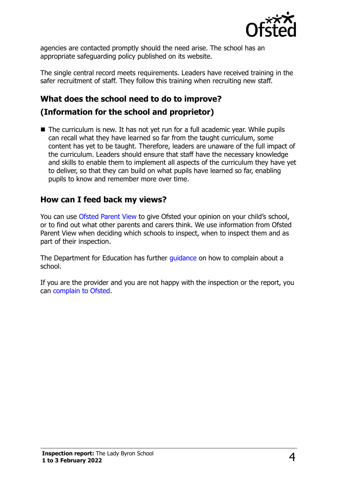

agencies are contacted promptly should the need arise. The school has an appropriate safeguarding policy published on its website.

The single central record meets requirements. Leaders have received training in the safer recruitment of staff. They follow this training when recruiting new staff.

## **What does the school need to do to improve?**

#### **(Information for the school and proprietor)**

■ The curriculum is new. It has not yet run for a full academic year. While pupils can recall what they have learned so far from the taught curriculum, some content has yet to be taught. Therefore, leaders are unaware of the full impact of the curriculum. Leaders should ensure that staff have the necessary knowledge and skills to enable them to implement all aspects of the curriculum they have yet to deliver, so that they can build on what pupils have learned so far, enabling pupils to know and remember more over time.

#### **How can I feed back my views?**

You can use [Ofsted Parent View](http://parentview.ofsted.gov.uk/) to give Ofsted your opinion on your child's school, or to find out what other parents and carers think. We use information from Ofsted Parent View when deciding which schools to inspect, when to inspect them and as part of their inspection.

The Department for Education has further quidance on how to complain about a school.

If you are the provider and you are not happy with the inspection or the report, you can [complain to Ofsted.](http://www.gov.uk/complain-ofsted-report)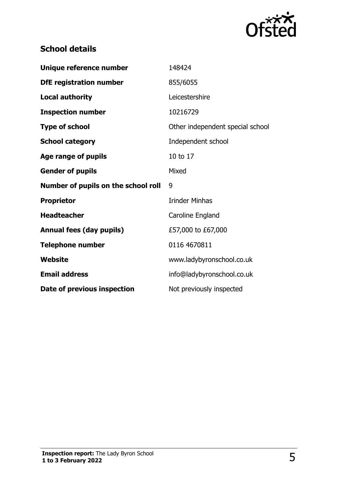

## **School details**

| Unique reference number             | 148424                           |
|-------------------------------------|----------------------------------|
| <b>DfE registration number</b>      | 855/6055                         |
| <b>Local authority</b>              | Leicestershire                   |
| <b>Inspection number</b>            | 10216729                         |
| <b>Type of school</b>               | Other independent special school |
| <b>School category</b>              | Independent school               |
| Age range of pupils                 | 10 to 17                         |
| <b>Gender of pupils</b>             | Mixed                            |
|                                     |                                  |
| Number of pupils on the school roll | 9                                |
| <b>Proprietor</b>                   | <b>Irinder Minhas</b>            |
| <b>Headteacher</b>                  | Caroline England                 |
| <b>Annual fees (day pupils)</b>     | £57,000 to £67,000               |
| <b>Telephone number</b>             | 0116 4670811                     |
| Website                             | www.ladybyronschool.co.uk        |
| <b>Email address</b>                | info@ladybyronschool.co.uk       |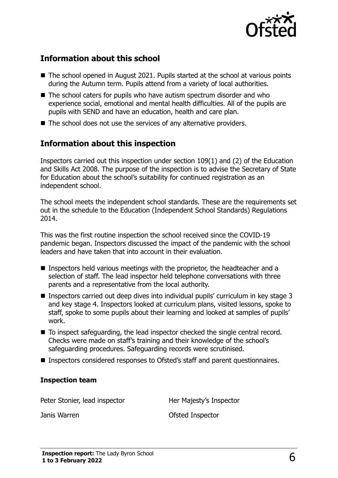

#### **Information about this school**

- The school opened in August 2021. Pupils started at the school at various points during the Autumn term. Pupils attend from a variety of local authorities.
- The school caters for pupils who have autism spectrum disorder and who experience social, emotional and mental health difficulties. All of the pupils are pupils with SEND and have an education, health and care plan.
- The school does not use the services of any alternative providers.

### **Information about this inspection**

Inspectors carried out this inspection under section 109(1) and (2) of the Education and Skills Act 2008. The purpose of the inspection is to advise the Secretary of State for Education about the school's suitability for continued registration as an independent school.

The school meets the independent school standards. These are the requirements set out in the schedule to the Education (Independent School Standards) Regulations 2014.

This was the first routine inspection the school received since the COVID-19 pandemic began. Inspectors discussed the impact of the pandemic with the school leaders and have taken that into account in their evaluation.

- Inspectors held various meetings with the proprietor, the headteacher and a selection of staff. The lead inspector held telephone conversations with three parents and a representative from the local authority.
- Inspectors carried out deep dives into individual pupils' curriculum in key stage 3 and key stage 4. Inspectors looked at curriculum plans, visited lessons, spoke to staff, spoke to some pupils about their learning and looked at samples of pupils' work.
- To inspect safeguarding, the lead inspector checked the single central record. Checks were made on staff's training and their knowledge of the school's safeguarding procedures. Safeguarding records were scrutinised.
- Inspectors considered responses to Ofsted's staff and parent questionnaires.

#### **Inspection team**

Peter Stonier, lead inspector **Her Majesty's Inspector** Janis Warren Ofsted Inspector